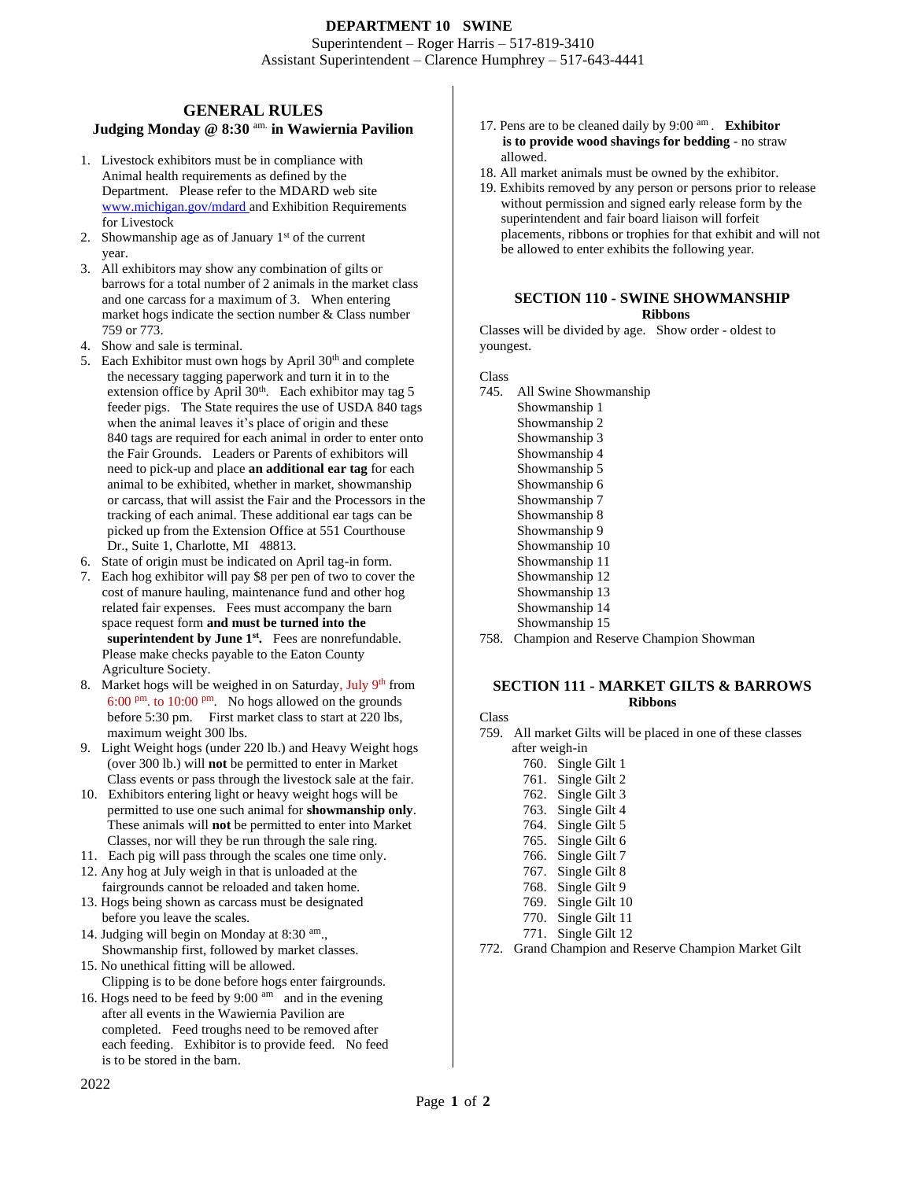# **GENERAL RULES**

## **Judging Monday @ 8:30** am. **in Wawiernia Pavilion**

- 1. Livestock exhibitors must be in compliance with Animal health requirements as defined by the Department. Please refer to the MDARD web site www.michigan.gov/mdard and Exhibition Requirements for Livestock
- 2. Showmanship age as of January  $1<sup>st</sup>$  of the current year.
- 3. All exhibitors may show any combination of gilts or barrows for a total number of 2 animals in the market class and one carcass for a maximum of 3. When entering market hogs indicate the section number & Class number 759 or 773.
- 4. Show and sale is terminal.
- 5. Each Exhibitor must own hogs by April 30<sup>th</sup> and complete the necessary tagging paperwork and turn it in to the extension office by April  $30<sup>th</sup>$ . Each exhibitor may tag 5 feeder pigs. The State requires the use of USDA 840 tags when the animal leaves it's place of origin and these 840 tags are required for each animal in order to enter onto the Fair Grounds. Leaders or Parents of exhibitors will need to pick-up and place **an additional ear tag** for each animal to be exhibited, whether in market, showmanship or carcass, that will assist the Fair and the Processors in the tracking of each animal. These additional ear tags can be picked up from the Extension Office at 551 Courthouse Dr., Suite 1, Charlotte, MI 48813.
- 6. State of origin must be indicated on April tag-in form.
- 7. Each hog exhibitor will pay \$8 per pen of two to cover the cost of manure hauling, maintenance fund and other hog related fair expenses. Fees must accompany the barn space request form **and must be turned into the superintendent by June 1st .** Fees are nonrefundable. Please make checks payable to the Eaton County Agriculture Society.
- 8. Market hogs will be weighed in on Saturday, July 9th from 6:00 pm. to 10:00 pm. No hogs allowed on the grounds before 5:30 pm. First market class to start at 220 lbs, maximum weight 300 lbs.
- 9. Light Weight hogs (under 220 lb.) and Heavy Weight hogs (over 300 lb.) will **not** be permitted to enter in Market Class events or pass through the livestock sale at the fair.
- 10. Exhibitors entering light or heavy weight hogs will be permitted to use one such animal for **showmanship only**. These animals will **not** be permitted to enter into Market Classes, nor will they be run through the sale ring.
- 11. Each pig will pass through the scales one time only.
- 12. Any hog at July weigh in that is unloaded at the fairgrounds cannot be reloaded and taken home.
- 13. Hogs being shown as carcass must be designated before you leave the scales.
- 14. Judging will begin on Monday at 8:30 am., Showmanship first, followed by market classes.
- 15. No unethical fitting will be allowed. Clipping is to be done before hogs enter fairgrounds.
- 16. Hogs need to be feed by 9:00  $\text{am}$  and in the evening after all events in the Wawiernia Pavilion are completed. Feed troughs need to be removed after each feeding. Exhibitor is to provide feed. No feed is to be stored in the barn.
- 17. Pens are to be cleaned daily by 9:00 am . **Exhibitor is to provide wood shavings for bedding** - no straw allowed.
- 18. All market animals must be owned by the exhibitor.
- 19. Exhibits removed by any person or persons prior to release without permission and signed early release form by the superintendent and fair board liaison will forfeit placements, ribbons or trophies for that exhibit and will not be allowed to enter exhibits the following year.

#### **SECTION 110 - SWINE SHOWMANSHIP Ribbons**

Classes will be divided by age. Show order - oldest to youngest.

Class

- 745. All Swine Showmanship Showmanship 1 Showmanship 2 Showmanship 3 Showmanship 4 Showmanship 5 Showmanship 6 Showmanship 7 Showmanship 8 Showmanship 9 Showmanship 10 Showmanship 11 Showmanship 12 Showmanship 13 Showmanship 14
	- Showmanship 15
- 758. Champion and Reserve Champion Showman

# **SECTION 111 - MARKET GILTS & BARROWS Ribbons**

Class

- 759. All market Gilts will be placed in one of these classes after weigh-in
	- 760. Single Gilt 1
	- 761. Single Gilt 2
	- 762. Single Gilt 3
	- 763. Single Gilt 4
	- 764. Single Gilt 5
	- 765. Single Gilt 6
	- 766. Single Gilt 7
	- 767. Single Gilt 8
	- 768. Single Gilt 9
	- 769. Single Gilt 10
	- 770. Single Gilt 11
	- 771. Single Gilt 12
- 772. Grand Champion and Reserve Champion Market Gilt